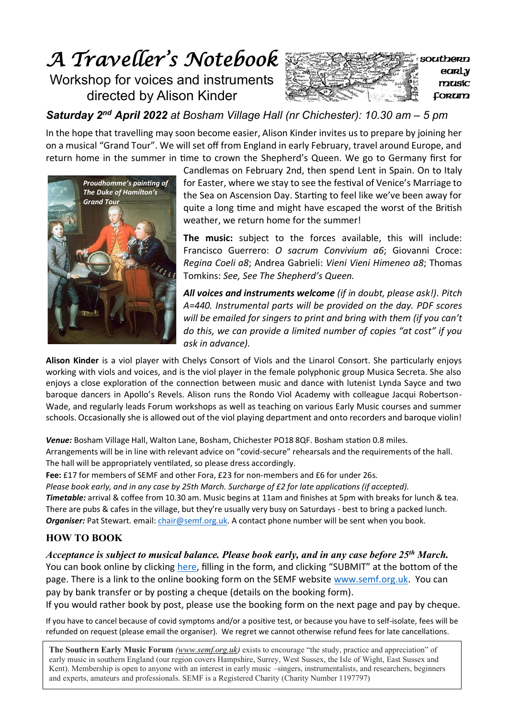# *A Traveller's Notebook*  Workshop for voices and instruments

directed by Alison Kinder



*Saturday 2nd April 2022 at Bosham Village Hall (nr Chichester): 10.30 am – 5 pm*

In the hope that travelling may soon become easier, Alison Kinder invites us to prepare by joining her on a musical "Grand Tour". We will set off from England in early February, travel around Europe, and return home in the summer in time to crown the Shepherd's Queen. We go to Germany first for



Candlemas on February 2nd, then spend Lent in Spain. On to Italy for Easter, where we stay to see the festival of Venice's Marriage to the Sea on Ascension Day. Starting to feel like we've been away for quite a long time and might have escaped the worst of the British weather, we return home for the summer!

**The music:** subject to the forces available, this will include: Francisco Guerrero: *O sacrum Convivium a6*; Giovanni Croce: *Regina Coeli a8*; Andrea Gabrieli: *Vieni Vieni Himeneo a8*; Thomas Tomkins: *See, See The Shepherd's Queen.*

*All voices and instruments welcome (if in doubt, please ask!). Pitch A=440. Instrumental parts will be provided on the day. PDF scores will be emailed for singers to print and bring with them (if you can't do this, we can provide a limited number of copies "at cost" if you ask in advance).*

**Alison Kinder** is a viol player with Chelys Consort of Viols and the Linarol Consort. She particularly enjoys working with viols and voices, and is the viol player in the female polyphonic group Musica Secreta. She also enjoys a close exploration of the connection between music and dance with lutenist Lynda Sayce and two baroque dancers in Apollo's Revels. Alison runs the Rondo Viol Academy with colleague Jacqui Robertson-Wade, and regularly leads Forum workshops as well as teaching on various Early Music courses and summer schools. Occasionally she is allowed out of the viol playing department and onto recorders and baroque violin!

*Venue:* Bosham Village Hall, Walton Lane, Bosham, Chichester PO18 8QF. Bosham station 0.8 miles. Arrangements will be in line with relevant advice on "covid-secure" rehearsals and the requirements of the hall. The hall will be appropriately ventilated, so please dress accordingly.

**Fee:** £17 for members of SEMF and other Fora, £23 for non-members and £6 for under 26s.

*Please book early, and in any case by 25th March. Surcharge of £2 for late applications (if accepted).* 

*Timetable:* arrival & coffee from 10.30 am. Music begins at 11am and finishes at 5pm with breaks for lunch & tea. There are pubs & cafes in the village, but they're usually very busy on Saturdays - best to bring a packed lunch. *Organiser:* Pat Stewart. email[: chair@semf.org.uk.](mailto:chair@semf.org.uk) A contact phone number will be sent when you book.

## **HOW TO BOOK**

*Acceptance is subject to musical balance. Please book early, and in any case before 25th March.*  You can book online by clicking [here,](https://forms.gle/nT7WoZPmBZEoKdt49) filling in the form, and clicking "SUBMIT" at the bottom of the page. There is a link to the online booking form on the SEMF website [www.semf.org.uk.](http://www.semf.org.uk/) You can pay by bank transfer or by posting a cheque (details on the booking form).

If you would rather book by post, please use the booking form on the next page and pay by cheque.

If you have to cancel because of covid symptoms and/or a positive test, or because you have to self-isolate, fees will be refunded on request (please email the organiser). We regret we cannot otherwise refund fees for late cancellations.

The Southern Early Music Forum *[\(www.semf.org.uk\)](http://www.semf.org.uk/)* exists to encourage "the study, practice and appreciation" of early music in contharm England *(our region covers Hamphing Surrey West Sugger*, the Jele of Wight, East Sug early music in southern England (our region covers Hampshire, Surrey, West Sussex, the Isle of Wight, East Sussex and Kent). Membership is open to anyone with an interest in early music –singers, instrumentalists, and researchers, beginners and experts, amateurs and professionals. SEMF is a Registered Charity (Charity Number 1197797)